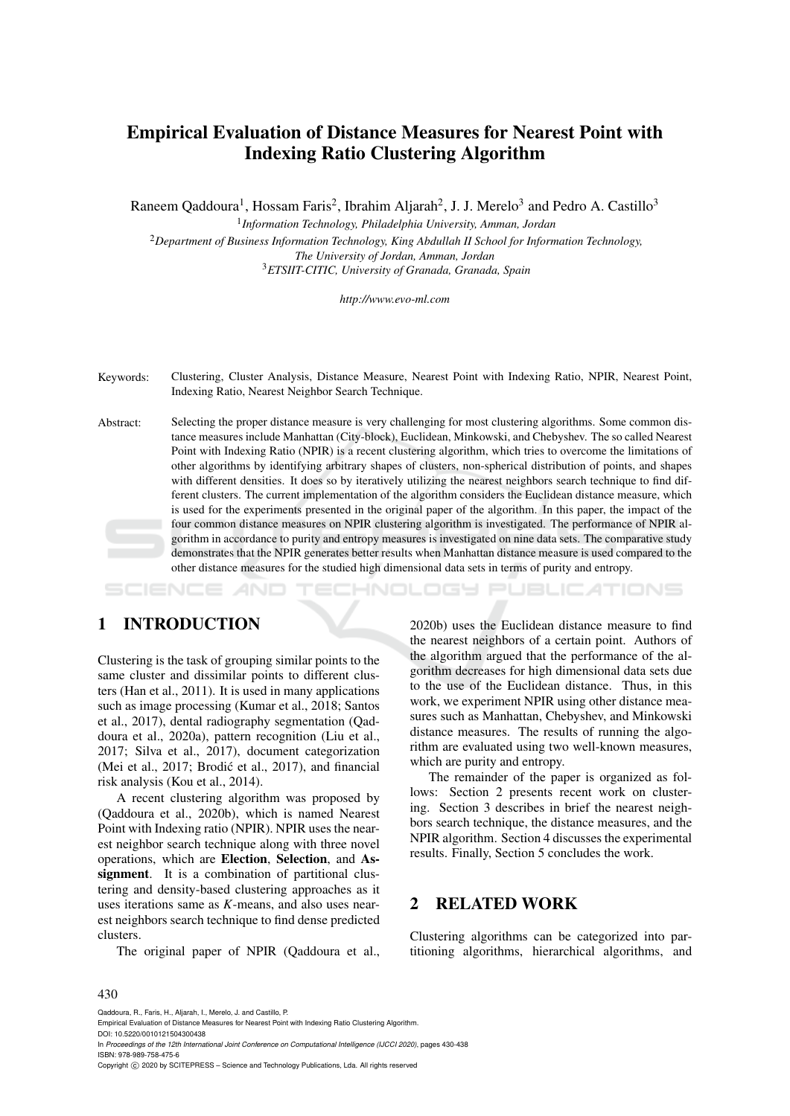# Empirical Evaluation of Distance Measures for Nearest Point with Indexing Ratio Clustering Algorithm

Raneem Qaddoura<sup>1</sup>, Hossam Faris<sup>2</sup>, Ibrahim Aljarah<sup>2</sup>, J. J. Merelo<sup>3</sup> and Pedro A. Castillo<sup>3</sup>

 *Information Technology, Philadelphia University, Amman, Jordan Department of Business Information Technology, King Abdullah II School for Information Technology, The University of Jordan, Amman, Jordan ETSIIT-CITIC, University of Granada, Granada, Spain*

*http://www.evo-ml.com*

Keywords: Clustering, Cluster Analysis, Distance Measure, Nearest Point with Indexing Ratio, NPIR, Nearest Point, Indexing Ratio, Nearest Neighbor Search Technique.

Abstract: Selecting the proper distance measure is very challenging for most clustering algorithms. Some common distance measures include Manhattan (City-block), Euclidean, Minkowski, and Chebyshev. The so called Nearest Point with Indexing Ratio (NPIR) is a recent clustering algorithm, which tries to overcome the limitations of other algorithms by identifying arbitrary shapes of clusters, non-spherical distribution of points, and shapes with different densities. It does so by iteratively utilizing the nearest neighbors search technique to find different clusters. The current implementation of the algorithm considers the Euclidean distance measure, which is used for the experiments presented in the original paper of the algorithm. In this paper, the impact of the four common distance measures on NPIR clustering algorithm is investigated. The performance of NPIR algorithm in accordance to purity and entropy measures is investigated on nine data sets. The comparative study demonstrates that the NPIR generates better results when Manhattan distance measure is used compared to the other distance measures for the studied high dimensional data sets in terms of purity and entropy.

oce ATIONS

## 1 INTRODUCTION

Clustering is the task of grouping similar points to the same cluster and dissimilar points to different clusters (Han et al., 2011). It is used in many applications such as image processing (Kumar et al., 2018; Santos et al., 2017), dental radiography segmentation (Qaddoura et al., 2020a), pattern recognition (Liu et al., 2017; Silva et al., 2017), document categorization (Mei et al., 2017; Brodić et al., 2017), and financial risk analysis (Kou et al., 2014).

A recent clustering algorithm was proposed by (Qaddoura et al., 2020b), which is named Nearest Point with Indexing ratio (NPIR). NPIR uses the nearest neighbor search technique along with three novel operations, which are Election, Selection, and Assignment. It is a combination of partitional clustering and density-based clustering approaches as it uses iterations same as *K*-means, and also uses nearest neighbors search technique to find dense predicted clusters.

The original paper of NPIR (Qaddoura et al.,

2020b) uses the Euclidean distance measure to find the nearest neighbors of a certain point. Authors of the algorithm argued that the performance of the algorithm decreases for high dimensional data sets due to the use of the Euclidean distance. Thus, in this work, we experiment NPIR using other distance measures such as Manhattan, Chebyshev, and Minkowski distance measures. The results of running the algorithm are evaluated using two well-known measures, which are purity and entropy.

The remainder of the paper is organized as follows: Section 2 presents recent work on clustering. Section 3 describes in brief the nearest neighbors search technique, the distance measures, and the NPIR algorithm. Section 4 discusses the experimental results. Finally, Section 5 concludes the work.

### 2 RELATED WORK

Clustering algorithms can be categorized into partitioning algorithms, hierarchical algorithms, and

#### 430

Qaddoura, R., Faris, H., Aljarah, I., Merelo, J. and Castillo, P.

In *Proceedings of the 12th International Joint Conference on Computational Intelligence (IJCCI 2020)*, pages 430-438 ISBN: 978-989-758-475-6

Copyright © 2020 by SCITEPRESS - Science and Technology Publications, Lda. All rights reserved

Empirical Evaluation of Distance Measures for Nearest Point with Indexing Ratio Clustering Algorithm. DOI: 10.5220/0010121504300438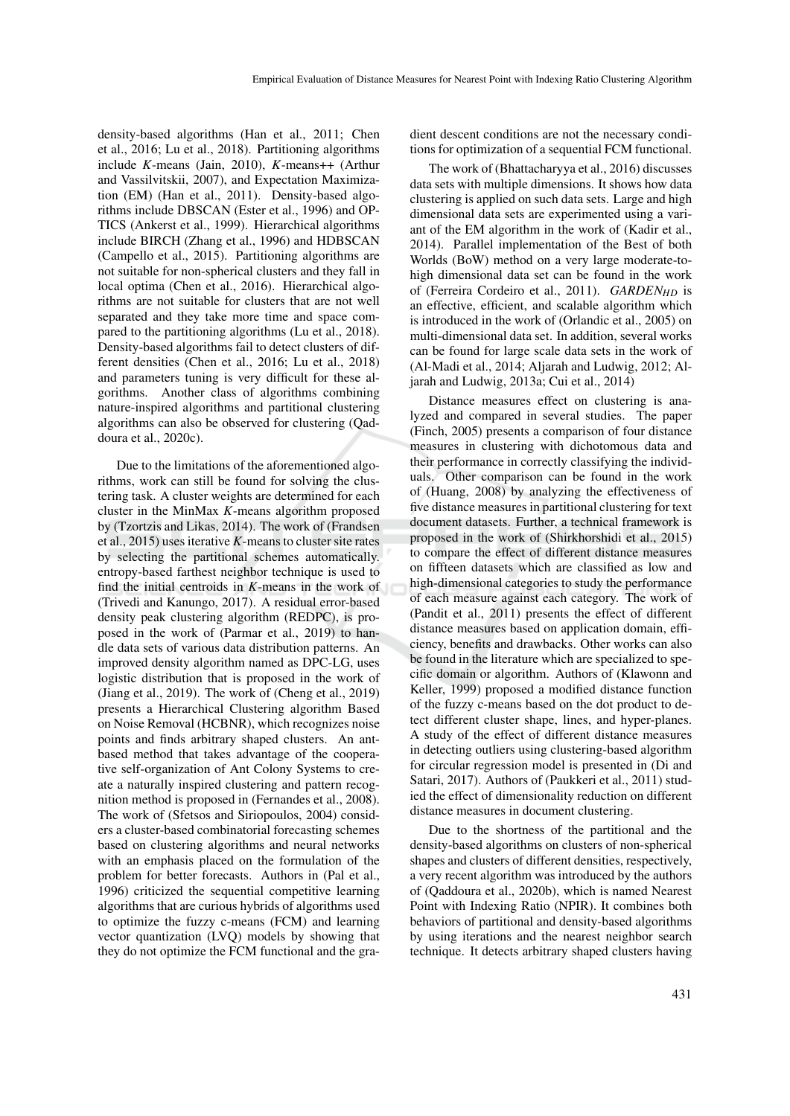density-based algorithms (Han et al., 2011; Chen et al., 2016; Lu et al., 2018). Partitioning algorithms include *K*-means (Jain, 2010), *K*-means++ (Arthur and Vassilvitskii, 2007), and Expectation Maximization (EM) (Han et al., 2011). Density-based algorithms include DBSCAN (Ester et al., 1996) and OP-TICS (Ankerst et al., 1999). Hierarchical algorithms include BIRCH (Zhang et al., 1996) and HDBSCAN (Campello et al., 2015). Partitioning algorithms are not suitable for non-spherical clusters and they fall in local optima (Chen et al., 2016). Hierarchical algorithms are not suitable for clusters that are not well separated and they take more time and space compared to the partitioning algorithms (Lu et al., 2018). Density-based algorithms fail to detect clusters of different densities (Chen et al., 2016; Lu et al., 2018) and parameters tuning is very difficult for these algorithms. Another class of algorithms combining nature-inspired algorithms and partitional clustering algorithms can also be observed for clustering (Qaddoura et al., 2020c).

Due to the limitations of the aforementioned algorithms, work can still be found for solving the clustering task. A cluster weights are determined for each cluster in the MinMax *K*-means algorithm proposed by (Tzortzis and Likas, 2014). The work of (Frandsen et al., 2015) uses iterative *K*-means to cluster site rates by selecting the partitional schemes automatically. entropy-based farthest neighbor technique is used to find the initial centroids in *K*-means in the work of (Trivedi and Kanungo, 2017). A residual error-based density peak clustering algorithm (REDPC), is proposed in the work of (Parmar et al., 2019) to handle data sets of various data distribution patterns. An improved density algorithm named as DPC-LG, uses logistic distribution that is proposed in the work of (Jiang et al., 2019). The work of (Cheng et al., 2019) presents a Hierarchical Clustering algorithm Based on Noise Removal (HCBNR), which recognizes noise points and finds arbitrary shaped clusters. An antbased method that takes advantage of the cooperative self-organization of Ant Colony Systems to create a naturally inspired clustering and pattern recognition method is proposed in (Fernandes et al., 2008). The work of (Sfetsos and Siriopoulos, 2004) considers a cluster-based combinatorial forecasting schemes based on clustering algorithms and neural networks with an emphasis placed on the formulation of the problem for better forecasts. Authors in (Pal et al., 1996) criticized the sequential competitive learning algorithms that are curious hybrids of algorithms used to optimize the fuzzy c-means (FCM) and learning vector quantization (LVQ) models by showing that they do not optimize the FCM functional and the gradient descent conditions are not the necessary conditions for optimization of a sequential FCM functional.

The work of (Bhattacharyya et al., 2016) discusses data sets with multiple dimensions. It shows how data clustering is applied on such data sets. Large and high dimensional data sets are experimented using a variant of the EM algorithm in the work of (Kadir et al., 2014). Parallel implementation of the Best of both Worlds (BoW) method on a very large moderate-tohigh dimensional data set can be found in the work of (Ferreira Cordeiro et al., 2011). *GARDENHD* is an effective, efficient, and scalable algorithm which is introduced in the work of (Orlandic et al., 2005) on multi-dimensional data set. In addition, several works can be found for large scale data sets in the work of (Al-Madi et al., 2014; Aljarah and Ludwig, 2012; Aljarah and Ludwig, 2013a; Cui et al., 2014)

Distance measures effect on clustering is analyzed and compared in several studies. The paper (Finch, 2005) presents a comparison of four distance measures in clustering with dichotomous data and their performance in correctly classifying the individuals. Other comparison can be found in the work of (Huang, 2008) by analyzing the effectiveness of five distance measures in partitional clustering for text document datasets. Further, a technical framework is proposed in the work of (Shirkhorshidi et al., 2015) to compare the effect of different distance measures on fiffteen datasets which are classified as low and high-dimensional categories to study the performance of each measure against each category. The work of (Pandit et al., 2011) presents the effect of different distance measures based on application domain, efficiency, benefits and drawbacks. Other works can also be found in the literature which are specialized to specific domain or algorithm. Authors of (Klawonn and Keller, 1999) proposed a modified distance function of the fuzzy c-means based on the dot product to detect different cluster shape, lines, and hyper-planes. A study of the effect of different distance measures in detecting outliers using clustering-based algorithm for circular regression model is presented in (Di and Satari, 2017). Authors of (Paukkeri et al., 2011) studied the effect of dimensionality reduction on different distance measures in document clustering.

Due to the shortness of the partitional and the density-based algorithms on clusters of non-spherical shapes and clusters of different densities, respectively, a very recent algorithm was introduced by the authors of (Qaddoura et al., 2020b), which is named Nearest Point with Indexing Ratio (NPIR). It combines both behaviors of partitional and density-based algorithms by using iterations and the nearest neighbor search technique. It detects arbitrary shaped clusters having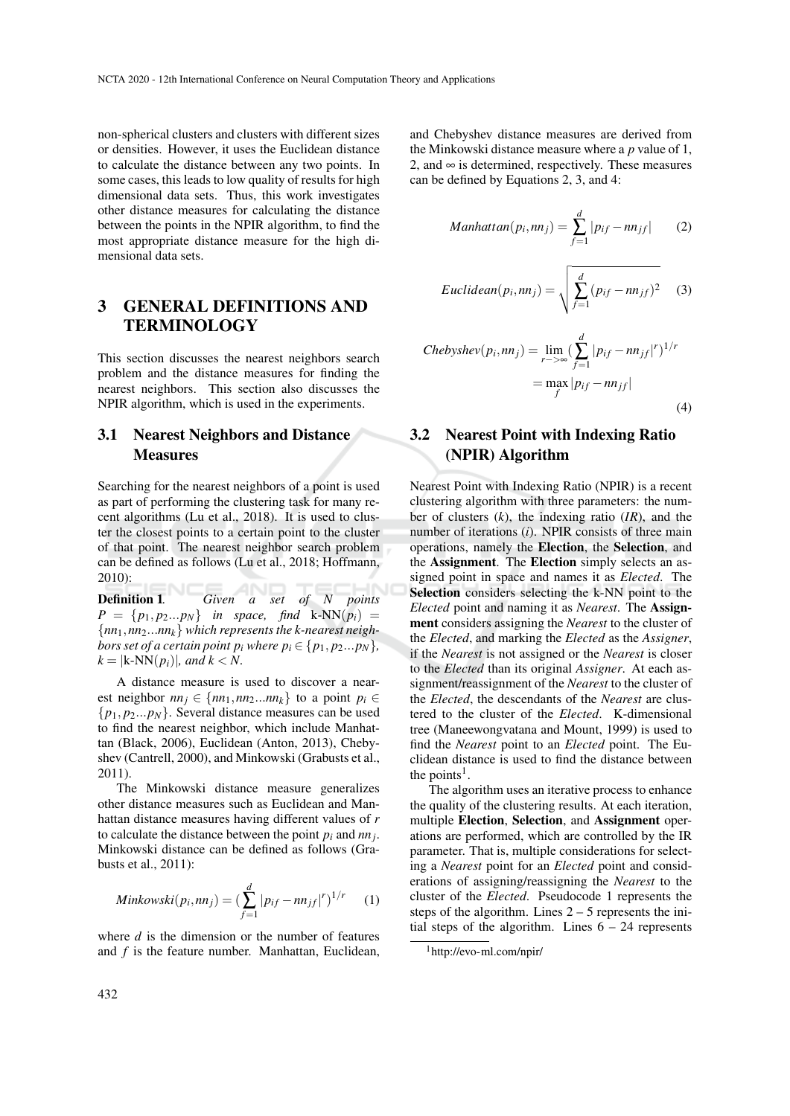non-spherical clusters and clusters with different sizes or densities. However, it uses the Euclidean distance to calculate the distance between any two points. In some cases, this leads to low quality of results for high dimensional data sets. Thus, this work investigates other distance measures for calculating the distance between the points in the NPIR algorithm, to find the most appropriate distance measure for the high dimensional data sets.

## 3 GENERAL DEFINITIONS AND **TERMINOLOGY**

This section discusses the nearest neighbors search problem and the distance measures for finding the nearest neighbors. This section also discusses the NPIR algorithm, which is used in the experiments.

## 3.1 Nearest Neighbors and Distance **Measures**

Searching for the nearest neighbors of a point is used as part of performing the clustering task for many recent algorithms (Lu et al., 2018). It is used to cluster the closest points to a certain point to the cluster of that point. The nearest neighbor search problem can be defined as follows (Lu et al., 2018; Hoffmann, 2010):

Definition 1*. Given a set of N points*  $P = \{p_1, p_2...p_N\}$  *in space, find* k-NN( $p_i$ ) = {*nn*1,*nn*2...*nnk*} *which represents the k-nearest neighbors set of a certain point*  $p_i$  *where*  $p_i \in \{p_1, p_2...p_N\}$ *,*  $k =$  $|k-NN(p_i)|$ *, and*  $k < N$ .

A distance measure is used to discover a nearest neighbor  $nn_j \in \{nn_1, nn_2...nn_k\}$  to a point  $p_i \in$ {*p*1, *p*2...*pN*}. Several distance measures can be used to find the nearest neighbor, which include Manhattan (Black, 2006), Euclidean (Anton, 2013), Chebyshev (Cantrell, 2000), and Minkowski (Grabusts et al., 2011).

The Minkowski distance measure generalizes other distance measures such as Euclidean and Manhattan distance measures having different values of *r* to calculate the distance between the point  $p_i$  and  $nn_j$ . Minkowski distance can be defined as follows (Grabusts et al., 2011):

$$
Minkowski(p_i, nn_j) = \left(\sum_{f=1}^{d} |p_{if} - nn_{jf}|^r\right)^{1/r}
$$
 (1)

where *d* is the dimension or the number of features and *f* is the feature number. Manhattan, Euclidean,

and Chebyshev distance measures are derived from the Minkowski distance measure where a *p* value of 1, 2, and  $\infty$  is determined, respectively. These measures can be defined by Equations 2, 3, and 4:

$$
Manhattan(p_i, nn_j) = \sum_{f=1}^{d} |p_{if} - nn_{jf}|
$$
 (2)

$$
Euclidean(p_i, nn_j) = \sqrt{\sum_{f=1}^{d} (p_{if} - nn_{jf})^2}
$$
 (3)

$$
Chebyshev(p_i, nn_j) = \lim_{r \to \infty} \left( \sum_{f=1}^{d} |p_{if} - nn_{jf}|^r \right)^{1/r}
$$

$$
= \max_{f} |p_{if} - nn_{jf}|
$$
(4)

## 3.2 Nearest Point with Indexing Ratio (NPIR) Algorithm

Nearest Point with Indexing Ratio (NPIR) is a recent clustering algorithm with three parameters: the number of clusters (*k*), the indexing ratio (*IR*), and the number of iterations (*i*). NPIR consists of three main operations, namely the Election, the Selection, and the Assignment. The Election simply selects an assigned point in space and names it as *Elected*. The Selection considers selecting the k-NN point to the *Elected* point and naming it as *Nearest*. The Assignment considers assigning the *Nearest* to the cluster of the *Elected*, and marking the *Elected* as the *Assigner*, if the *Nearest* is not assigned or the *Nearest* is closer to the *Elected* than its original *Assigner*. At each assignment/reassignment of the *Nearest* to the cluster of the *Elected*, the descendants of the *Nearest* are clustered to the cluster of the *Elected*. K-dimensional tree (Maneewongvatana and Mount, 1999) is used to find the *Nearest* point to an *Elected* point. The Euclidean distance is used to find the distance between the points<sup>1</sup>.

The algorithm uses an iterative process to enhance the quality of the clustering results. At each iteration, multiple Election, Selection, and Assignment operations are performed, which are controlled by the IR parameter. That is, multiple considerations for selecting a *Nearest* point for an *Elected* point and considerations of assigning/reassigning the *Nearest* to the cluster of the *Elected*. Pseudocode 1 represents the steps of the algorithm. Lines  $2 - 5$  represents the initial steps of the algorithm. Lines  $6 - 24$  represents

<sup>1</sup>http://evo-ml.com/npir/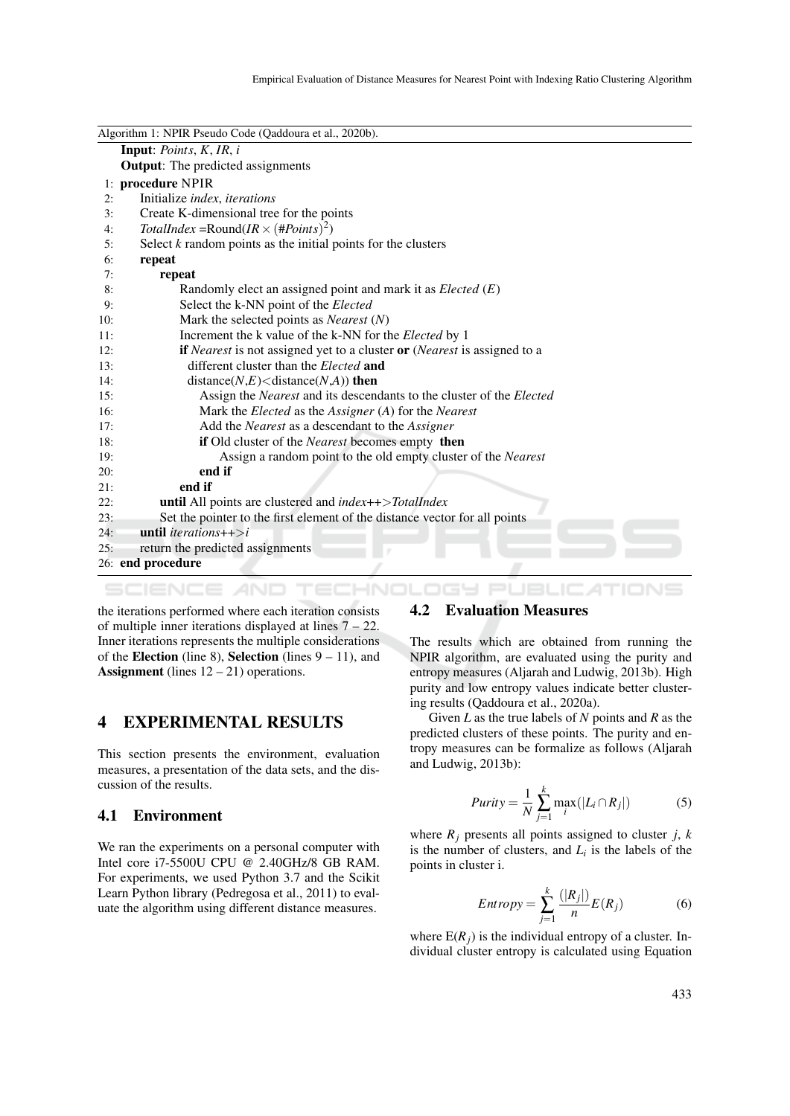| Algorithm 1: NPIR Pseudo Code (Qaddoura et al., 2020b).                            |
|------------------------------------------------------------------------------------|
| <b>Input:</b> Points, $K$ , $IR$ , $i$                                             |
| <b>Output:</b> The predicted assignments                                           |
| 1: procedure NPIR                                                                  |
| Initialize index, iterations                                                       |
| Create K-dimensional tree for the points                                           |
| TotalIndex = Round(IR $\times$ (#Points) <sup>2</sup> )                            |
| Select $k$ random points as the initial points for the clusters                    |
| repeat                                                                             |
| repeat                                                                             |
| Randomly elect an assigned point and mark it as $Elected(E)$                       |
| Select the k-NN point of the Elected                                               |
| Mark the selected points as <i>Nearest</i> $(N)$                                   |
| Increment the k value of the k-NN for the Elected by 1                             |
| <b>if</b> Nearest is not assigned yet to a cluster or (Nearest is assigned to a    |
| different cluster than the <i>Elected</i> and                                      |
| distance( $N, E$ ) <distance(<math>N, A)) then</distance(<math>                    |
| Assign the <i>Nearest</i> and its descendants to the cluster of the <i>Elected</i> |
| Mark the <i>Elected</i> as the <i>Assigner</i> (A) for the <i>Nearest</i>          |
| Add the Nearest as a descendant to the Assigner                                    |
| if Old cluster of the Nearest becomes empty then                                   |
| Assign a random point to the old empty cluster of the Nearest                      |
| end if                                                                             |
| end if                                                                             |
| <b>until</b> All points are clustered and $index++$ > TotalIndex                   |
| Set the pointer to the first element of the distance vector for all points         |
| <b>until</b> <i>iterations</i> ++ $>$ <i>i</i>                                     |
| return the predicted assignments                                                   |
| 26: end procedure                                                                  |
|                                                                                    |

SCIENCE AND TECHNOLOGY PUBLICATIONS

the iterations performed where each iteration consists of multiple inner iterations displayed at lines  $7 - 22$ . Inner iterations represents the multiple considerations of the Election (line 8), Selection (lines  $9 - 11$ ), and Assignment (lines  $12 - 21$ ) operations.

### 4 EXPERIMENTAL RESULTS

This section presents the environment, evaluation measures, a presentation of the data sets, and the discussion of the results.

#### 4.1 Environment

We ran the experiments on a personal computer with Intel core i7-5500U CPU @ 2.40GHz/8 GB RAM. For experiments, we used Python 3.7 and the Scikit Learn Python library (Pedregosa et al., 2011) to evaluate the algorithm using different distance measures.

### 4.2 Evaluation Measures

The results which are obtained from running the NPIR algorithm, are evaluated using the purity and entropy measures (Aljarah and Ludwig, 2013b). High purity and low entropy values indicate better clustering results (Qaddoura et al., 2020a).

Given *L* as the true labels of *N* points and *R* as the predicted clusters of these points. The purity and entropy measures can be formalize as follows (Aljarah and Ludwig, 2013b):

$$
Purity = \frac{1}{N} \sum_{j=1}^{k} \max_{i} (|L_i \cap R_j|)
$$
 (5)

where  $R_i$  presents all points assigned to cluster *j*, *k* is the number of clusters, and  $L_i$  is the labels of the points in cluster i.

$$
Entropy = \sum_{j=1}^{k} \frac{(|R_j|)}{n} E(R_j)
$$
 (6)

where  $E(R_i)$  is the individual entropy of a cluster. Individual cluster entropy is calculated using Equation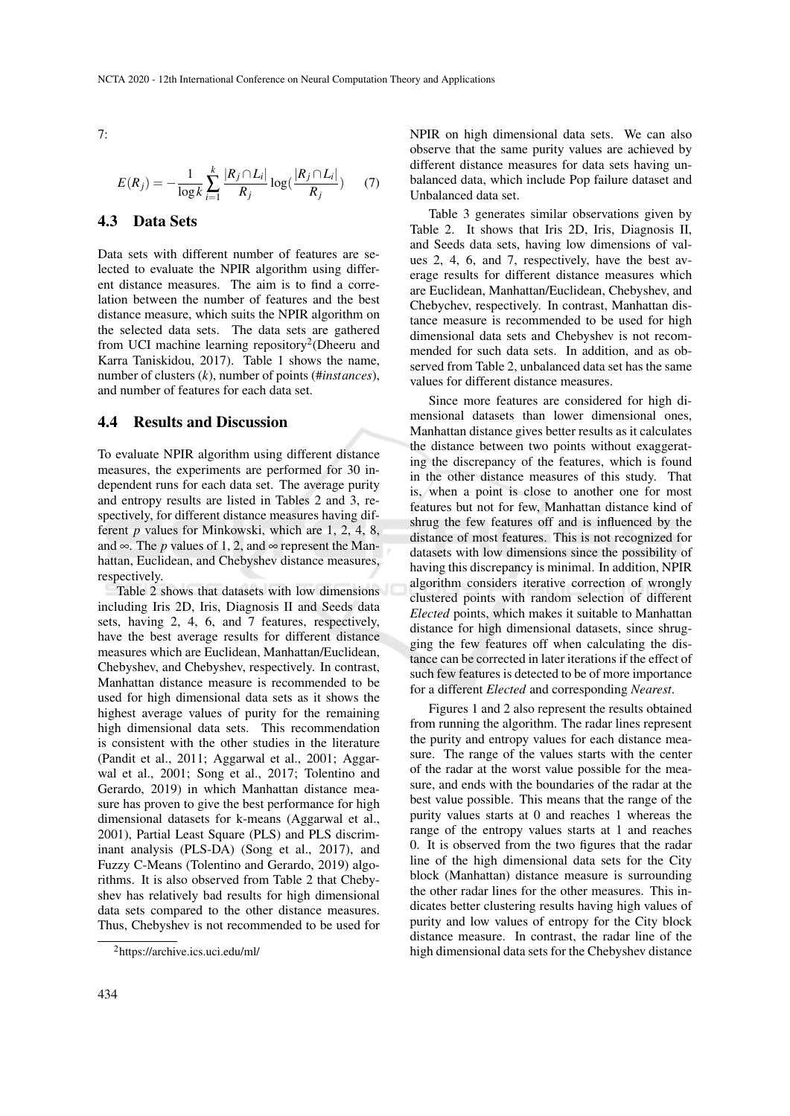7:

$$
E(R_j) = -\frac{1}{\log k} \sum_{i=1}^{k} \frac{|R_j \cap L_i|}{R_j} \log(\frac{|R_j \cap L_i|}{R_j})
$$
 (7)

### 4.3 Data Sets

Data sets with different number of features are selected to evaluate the NPIR algorithm using different distance measures. The aim is to find a correlation between the number of features and the best distance measure, which suits the NPIR algorithm on the selected data sets. The data sets are gathered from UCI machine learning repository<sup>2</sup>(Dheeru and Karra Taniskidou, 2017). Table 1 shows the name, number of clusters (*k*), number of points (#*instances*), and number of features for each data set.

#### 4.4 Results and Discussion

To evaluate NPIR algorithm using different distance measures, the experiments are performed for 30 independent runs for each data set. The average purity and entropy results are listed in Tables 2 and 3, respectively, for different distance measures having different *p* values for Minkowski, which are 1, 2, 4, 8, and  $\infty$ . The *p* values of 1, 2, and  $\infty$  represent the Manhattan, Euclidean, and Chebyshev distance measures, respectively.

Table 2 shows that datasets with low dimensions including Iris 2D, Iris, Diagnosis II and Seeds data sets, having 2, 4, 6, and 7 features, respectively, have the best average results for different distance measures which are Euclidean, Manhattan/Euclidean, Chebyshev, and Chebyshev, respectively. In contrast, Manhattan distance measure is recommended to be used for high dimensional data sets as it shows the highest average values of purity for the remaining high dimensional data sets. This recommendation is consistent with the other studies in the literature (Pandit et al., 2011; Aggarwal et al., 2001; Aggarwal et al., 2001; Song et al., 2017; Tolentino and Gerardo, 2019) in which Manhattan distance measure has proven to give the best performance for high dimensional datasets for k-means (Aggarwal et al., 2001), Partial Least Square (PLS) and PLS discriminant analysis (PLS-DA) (Song et al., 2017), and Fuzzy C-Means (Tolentino and Gerardo, 2019) algorithms. It is also observed from Table 2 that Chebyshev has relatively bad results for high dimensional data sets compared to the other distance measures. Thus, Chebyshev is not recommended to be used for

Table 3 generates similar observations given by Table 2. It shows that Iris 2D, Iris, Diagnosis II, and Seeds data sets, having low dimensions of values 2, 4, 6, and 7, respectively, have the best average results for different distance measures which are Euclidean, Manhattan/Euclidean, Chebyshev, and Chebychev, respectively. In contrast, Manhattan distance measure is recommended to be used for high dimensional data sets and Chebyshev is not recommended for such data sets. In addition, and as observed from Table 2, unbalanced data set has the same values for different distance measures.

Since more features are considered for high dimensional datasets than lower dimensional ones, Manhattan distance gives better results as it calculates the distance between two points without exaggerating the discrepancy of the features, which is found in the other distance measures of this study. That is, when a point is close to another one for most features but not for few, Manhattan distance kind of shrug the few features off and is influenced by the distance of most features. This is not recognized for datasets with low dimensions since the possibility of having this discrepancy is minimal. In addition, NPIR algorithm considers iterative correction of wrongly clustered points with random selection of different *Elected* points, which makes it suitable to Manhattan distance for high dimensional datasets, since shrugging the few features off when calculating the distance can be corrected in later iterations if the effect of such few features is detected to be of more importance for a different *Elected* and corresponding *Nearest*.

Figures 1 and 2 also represent the results obtained from running the algorithm. The radar lines represent the purity and entropy values for each distance measure. The range of the values starts with the center of the radar at the worst value possible for the measure, and ends with the boundaries of the radar at the best value possible. This means that the range of the purity values starts at 0 and reaches 1 whereas the range of the entropy values starts at 1 and reaches 0. It is observed from the two figures that the radar line of the high dimensional data sets for the City block (Manhattan) distance measure is surrounding the other radar lines for the other measures. This indicates better clustering results having high values of purity and low values of entropy for the City block distance measure. In contrast, the radar line of the high dimensional data sets for the Chebyshev distance

<sup>2</sup>https://archive.ics.uci.edu/ml/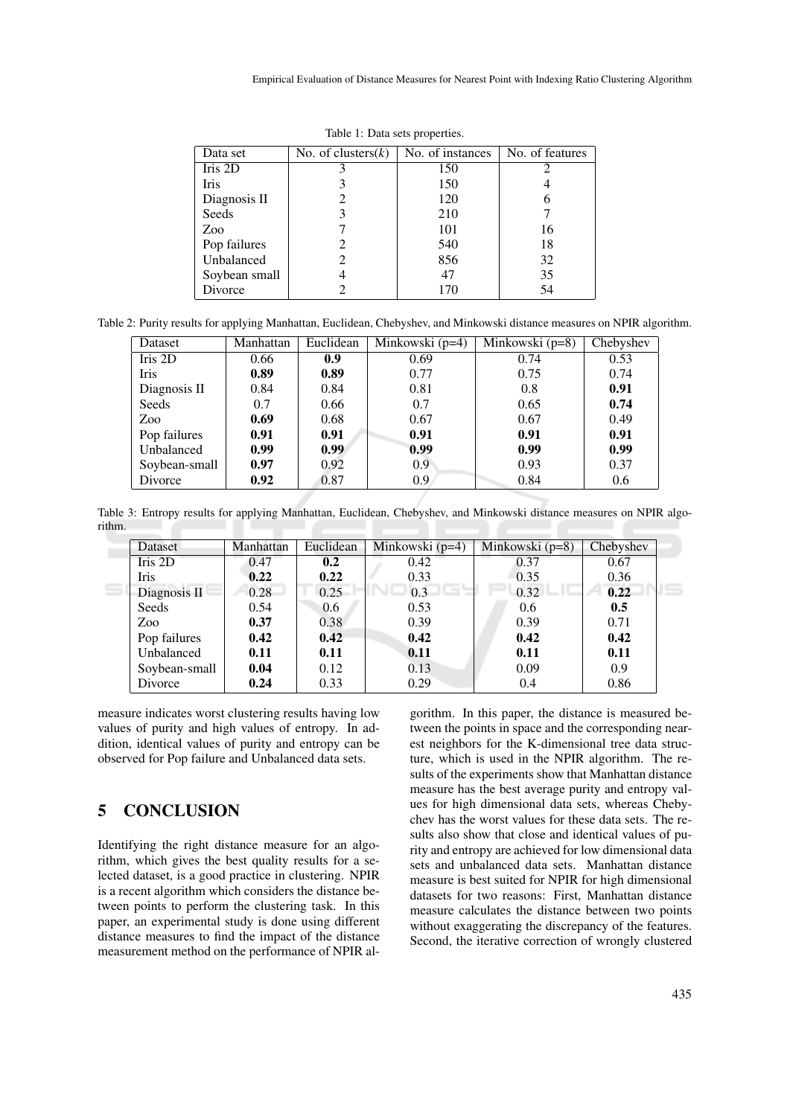| Data set      | No. of clusters $(k)$ | No. of instances | No. of features |
|---------------|-----------------------|------------------|-----------------|
| Iris 2D       |                       | 150              |                 |
| <b>Iris</b>   |                       | 150              |                 |
| Diagnosis II  |                       | 120              | 6               |
| Seeds         | 3                     | 210              |                 |
| Zoo           |                       | 101              | 16              |
| Pop failures  |                       | 540              | 18              |
| Unbalanced    | 2                     | 856              | 32              |
| Soybean small |                       | 47               | 35              |
| Divorce       |                       | 170              | 54              |

Table 1: Data sets properties.

Table 2: Purity results for applying Manhattan, Euclidean, Chebyshev, and Minkowski distance measures on NPIR algorithm.

| Dataset       | Manhattan | Euclidean | Minkowski (p=4) | Minkowski (p=8) | Chebyshev |
|---------------|-----------|-----------|-----------------|-----------------|-----------|
| Iris 2D       | 0.66      | 0.9       | 0.69            | 0.74            | 0.53      |
| <b>Iris</b>   | 0.89      | 0.89      | 0.77            | 0.75            | 0.74      |
| Diagnosis II  | 0.84      | 0.84      | 0.81            | 0.8             | 0.91      |
| Seeds         | 0.7       | 0.66      | 0.7             | 0.65            | 0.74      |
| Zoo           | 0.69      | 0.68      | 0.67            | 0.67            | 0.49      |
| Pop failures  | 0.91      | 0.91      | 0.91            | 0.91            | 0.91      |
| Unbalanced    | 0.99      | 0.99      | 0.99            | 0.99            | 0.99      |
| Soybean-small | 0.97      | 0.92      | 0.9             | 0.93            | 0.37      |
| Divorce       | 0.92      | 0.87      | 0.9             | 0.84            | 0.6       |

Table 3: Entropy results for applying Manhattan, Euclidean, Chebyshev, and Minkowski distance measures on NPIR algorithm.

| Dataset       | Manhattan | Euclidean | Minkowski $(p=4)$ | Minkowski $(p=8)$ | Chebyshev |
|---------------|-----------|-----------|-------------------|-------------------|-----------|
| Iris 2D       | 0.47      | 0.2       | 0.42              | 0.37              | 0.67      |
| Iris          | 0.22      | 0.22      | 0.33              | 0.35              | 0.36      |
| Diagnosis II  | 0.28      | 0.25      | 0.3               | 0.32              | 0.22      |
| Seeds         | 0.54      | 0.6       | 0.53              | 0.6               | 0.5       |
| Zoo.          | 0.37      | 0.38      | 0.39              | 0.39              | 0.71      |
| Pop failures  | 0.42      | 0.42      | 0.42              | 0.42              | 0.42      |
| Unbalanced    | 0.11      | 0.11      | 0.11              | 0.11              | 0.11      |
| Soybean-small | 0.04      | 0.12      | 0.13              | 0.09              | 0.9       |
| Divorce       | 0.24      | 0.33      | 0.29              | 0.4               | 0.86      |

measure indicates worst clustering results having low values of purity and high values of entropy. In addition, identical values of purity and entropy can be observed for Pop failure and Unbalanced data sets.

## 5 CONCLUSION

Identifying the right distance measure for an algorithm, which gives the best quality results for a selected dataset, is a good practice in clustering. NPIR is a recent algorithm which considers the distance between points to perform the clustering task. In this paper, an experimental study is done using different distance measures to find the impact of the distance measurement method on the performance of NPIR al-

gorithm. In this paper, the distance is measured between the points in space and the corresponding nearest neighbors for the K-dimensional tree data structure, which is used in the NPIR algorithm. The results of the experiments show that Manhattan distance measure has the best average purity and entropy values for high dimensional data sets, whereas Chebychev has the worst values for these data sets. The results also show that close and identical values of purity and entropy are achieved for low dimensional data sets and unbalanced data sets. Manhattan distance measure is best suited for NPIR for high dimensional datasets for two reasons: First, Manhattan distance measure calculates the distance between two points without exaggerating the discrepancy of the features. Second, the iterative correction of wrongly clustered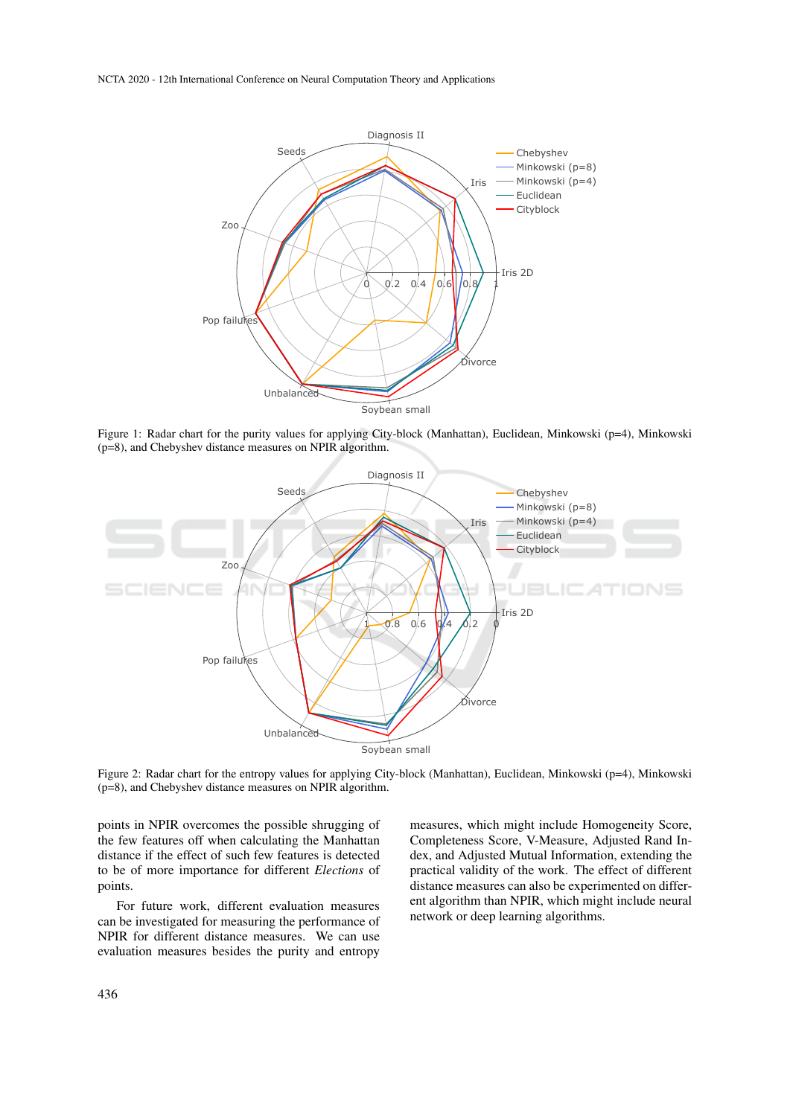NCTA 2020 - 12th International Conference on Neural Computation Theory and Applications



Figure 1: Radar chart for the purity values for applying City-block (Manhattan), Euclidean, Minkowski (p=4), Minkowski (p=8), and Chebyshev distance measures on NPIR algorithm.



Figure 2: Radar chart for the entropy values for applying City-block (Manhattan), Euclidean, Minkowski (p=4), Minkowski (p=8), and Chebyshev distance measures on NPIR algorithm.

points in NPIR overcomes the possible shrugging of the few features off when calculating the Manhattan distance if the effect of such few features is detected to be of more importance for different *Elections* of points.

For future work, different evaluation measures can be investigated for measuring the performance of NPIR for different distance measures. We can use evaluation measures besides the purity and entropy

measures, which might include Homogeneity Score, Completeness Score, V-Measure, Adjusted Rand Index, and Adjusted Mutual Information, extending the practical validity of the work. The effect of different distance measures can also be experimented on different algorithm than NPIR, which might include neural network or deep learning algorithms.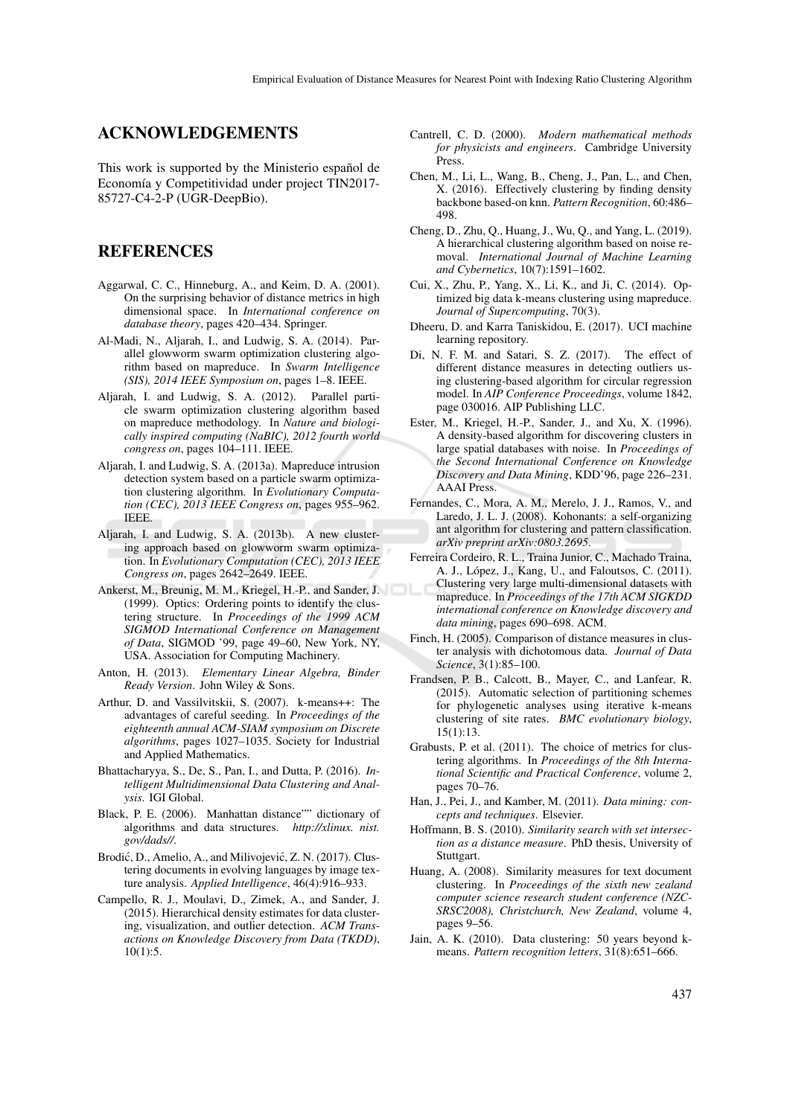### ACKNOWLEDGEMENTS

This work is supported by the Ministerio español de Economía y Competitividad under project TIN2017-85727-C4-2-P (UGR-DeepBio).

### REFERENCES

- Aggarwal, C. C., Hinneburg, A., and Keim, D. A. (2001). On the surprising behavior of distance metrics in high dimensional space. In *International conference on database theory*, pages 420–434. Springer.
- Al-Madi, N., Aljarah, I., and Ludwig, S. A. (2014). Parallel glowworm swarm optimization clustering algorithm based on mapreduce. In *Swarm Intelligence (SIS), 2014 IEEE Symposium on*, pages 1–8. IEEE.
- Aljarah, I. and Ludwig, S. A. (2012). Parallel particle swarm optimization clustering algorithm based on mapreduce methodology. In *Nature and biologically inspired computing (NaBIC), 2012 fourth world congress on*, pages 104–111. IEEE.
- Aljarah, I. and Ludwig, S. A. (2013a). Mapreduce intrusion detection system based on a particle swarm optimization clustering algorithm. In *Evolutionary Computation (CEC), 2013 IEEE Congress on*, pages 955–962. IEEE.
- Aljarah, I. and Ludwig, S. A. (2013b). A new clustering approach based on glowworm swarm optimization. In *Evolutionary Computation (CEC), 2013 IEEE Congress on*, pages 2642–2649. IEEE.
- Ankerst, M., Breunig, M. M., Kriegel, H.-P., and Sander, J. (1999). Optics: Ordering points to identify the clustering structure. In *Proceedings of the 1999 ACM SIGMOD International Conference on Management of Data*, SIGMOD '99, page 49–60, New York, NY, USA. Association for Computing Machinery.
- Anton, H. (2013). *Elementary Linear Algebra, Binder Ready Version*. John Wiley & Sons.
- Arthur, D. and Vassilvitskii, S. (2007). k-means++: The advantages of careful seeding. In *Proceedings of the eighteenth annual ACM-SIAM symposium on Discrete algorithms*, pages 1027–1035. Society for Industrial and Applied Mathematics.
- Bhattacharyya, S., De, S., Pan, I., and Dutta, P. (2016). *Intelligent Multidimensional Data Clustering and Analysis*. IGI Global.
- Black, P. E. (2006). Manhattan distance"" dictionary of algorithms and data structures. *http://xlinux. nist. gov/dads//*.
- Brodić, D., Amelio, A., and Milivojević, Z. N. (2017). Clustering documents in evolving languages by image texture analysis. *Applied Intelligence*, 46(4):916–933.
- Campello, R. J., Moulavi, D., Zimek, A., and Sander, J. (2015). Hierarchical density estimates for data clustering, visualization, and outlier detection. *ACM Transactions on Knowledge Discovery from Data (TKDD)*, 10(1):5.
- Cantrell, C. D. (2000). *Modern mathematical methods for physicists and engineers*. Cambridge University Press.
- Chen, M., Li, L., Wang, B., Cheng, J., Pan, L., and Chen, X. (2016). Effectively clustering by finding density backbone based-on knn. *Pattern Recognition*, 60:486– 498.
- Cheng, D., Zhu, Q., Huang, J., Wu, Q., and Yang, L. (2019). A hierarchical clustering algorithm based on noise removal. *International Journal of Machine Learning and Cybernetics*, 10(7):1591–1602.
- Cui, X., Zhu, P., Yang, X., Li, K., and Ji, C. (2014). Optimized big data k-means clustering using mapreduce. *Journal of Supercomputing*, 70(3).
- Dheeru, D. and Karra Taniskidou, E. (2017). UCI machine learning repository.
- Di, N. F. M. and Satari, S. Z. (2017). The effect of different distance measures in detecting outliers using clustering-based algorithm for circular regression model. In *AIP Conference Proceedings*, volume 1842, page 030016. AIP Publishing LLC.
- Ester, M., Kriegel, H.-P., Sander, J., and Xu, X. (1996). A density-based algorithm for discovering clusters in large spatial databases with noise. In *Proceedings of the Second International Conference on Knowledge Discovery and Data Mining*, KDD'96, page 226–231. AAAI Press.
- Fernandes, C., Mora, A. M., Merelo, J. J., Ramos, V., and Laredo, J. L. J. (2008). Kohonants: a self-organizing ant algorithm for clustering and pattern classification. *arXiv preprint arXiv:0803.2695*.
- Ferreira Cordeiro, R. L., Traina Junior, C., Machado Traina, A. J., López, J., Kang, U., and Faloutsos, C. (2011). Clustering very large multi-dimensional datasets with mapreduce. In *Proceedings of the 17th ACM SIGKDD international conference on Knowledge discovery and data mining*, pages 690–698. ACM.
- Finch, H. (2005). Comparison of distance measures in cluster analysis with dichotomous data. *Journal of Data Science*, 3(1):85–100.
- Frandsen, P. B., Calcott, B., Mayer, C., and Lanfear, R. (2015). Automatic selection of partitioning schemes for phylogenetic analyses using iterative k-means clustering of site rates. *BMC evolutionary biology*, 15(1):13.
- Grabusts, P. et al. (2011). The choice of metrics for clustering algorithms. In *Proceedings of the 8th International Scientific and Practical Conference*, volume 2, pages 70–76.
- Han, J., Pei, J., and Kamber, M. (2011). *Data mining: concepts and techniques*. Elsevier.
- Hoffmann, B. S. (2010). *Similarity search with set intersection as a distance measure*. PhD thesis, University of Stuttgart.
- Huang, A. (2008). Similarity measures for text document clustering. In *Proceedings of the sixth new zealand computer science research student conference (NZC-SRSC2008), Christchurch, New Zealand*, volume 4, pages 9–56.
- Jain, A. K. (2010). Data clustering: 50 years beyond kmeans. *Pattern recognition letters*, 31(8):651–666.